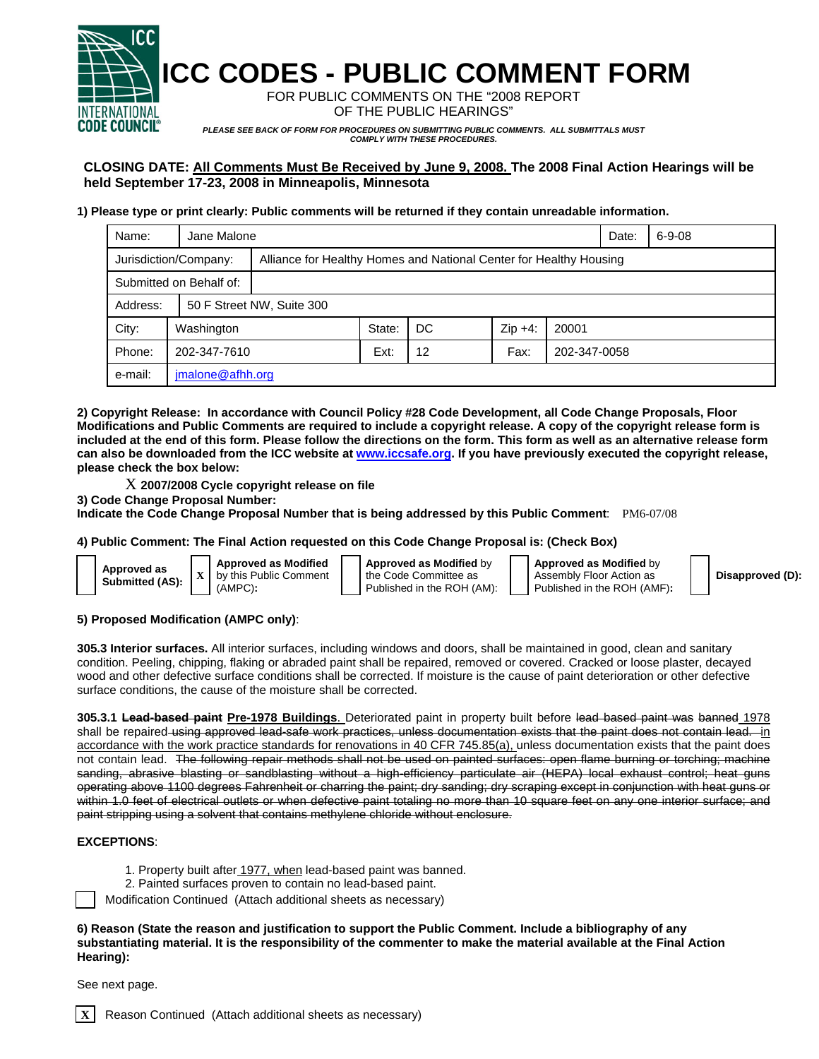

**ICC CODES - PUBLIC COMMENT FORM** 

FOR PUBLIC COMMENTS ON THE "2008 REPORT OF THE PUBLIC HEARINGS"

*PLEASE SEE BACK OF FORM FOR PROCEDURES ON SUBMITTING PUBLIC COMMENTS. ALL SUBMITTALS MUST COMPLY WITH THESE PROCEDURES.* 

# **CLOSING DATE: All Comments Must Be Received by June 9, 2008. The 2008 Final Action Hearings will be held September 17-23, 2008 in Minneapolis, Minnesota**

### **1) Please type or print clearly: Public comments will be returned if they contain unreadable information.**

| Name:                   | Jane Malone      |                                                                    |        |                   |           |              | Date: | $6 - 9 - 08$ |
|-------------------------|------------------|--------------------------------------------------------------------|--------|-------------------|-----------|--------------|-------|--------------|
| Jurisdiction/Company:   |                  | Alliance for Healthy Homes and National Center for Healthy Housing |        |                   |           |              |       |              |
| Submitted on Behalf of: |                  |                                                                    |        |                   |           |              |       |              |
| Address:                |                  | 50 F Street NW, Suite 300                                          |        |                   |           |              |       |              |
| City:                   | Washington       |                                                                    | State: | DC                | $Zip +4:$ | 20001        |       |              |
| Phone:                  | 202-347-7610     |                                                                    | Ext:   | $12 \overline{ }$ | Fax:      | 202-347-0058 |       |              |
| e-mail:                 | jmalone@afhh.org |                                                                    |        |                   |           |              |       |              |

**2) Copyright Release: In accordance with Council Policy #28 Code Development, all Code Change Proposals, Floor Modifications and Public Comments are required to include a copyright release. A copy of the copyright release form is included at the end of this form. Please follow the directions on the form. This form as well as an alternative release form can also be downloaded from the ICC website at www.iccsafe.org. If you have previously executed the copyright release, please check the box below:** 

- X **2007/2008 Cycle copyright release on file**
- **3) Code Change Proposal Number:**

**Indicate the Code Change Proposal Number that is being addressed by this Public Comment**: PM6-07/08

### **4) Public Comment: The Final Action requested on this Code Change Proposal is: (Check Box)**

|  | Approved as<br><b>Submitted (AS):</b> |  |
|--|---------------------------------------|--|
|  |                                       |  |

**Approved as Modified** by this Public Comment (AMPC)**:** 

**Approved as Modified** by the Code Committee as Published in the ROH (AM): **Approved as Modified** by Assembly Floor Action as Published in the ROH (AMF)**:** 

**Disapproved (D):**

### **5) Proposed Modification (AMPC only)**:

**305.3 Interior surfaces.** All interior surfaces, including windows and doors, shall be maintained in good, clean and sanitary condition. Peeling, chipping, flaking or abraded paint shall be repaired, removed or covered. Cracked or loose plaster, decayed wood and other defective surface conditions shall be corrected. If moisture is the cause of paint deterioration or other defective surface conditions, the cause of the moisture shall be corrected.

**305.3.1 Lead-based paint Pre-1978 Buildings**. Deteriorated paint in property built before lead based paint was banned 1978 shall be repaired using approved lead-safe work practices, unless documentation exists that the paint does not contain lead. in accordance with the work practice standards for renovations in 40 CFR 745.85(a), unless documentation exists that the paint does not contain lead. The following repair methods shall not be used on painted surfaces: open flame burning or torching; machine sanding, abrasive blasting or sandblasting without a high-efficiency particulate air (HEPA) local exhaust control; heat guns operating above 1100 degrees Fahrenheit or charring the paint; dry sanding; dry scraping except in conjunction with heat guns or within 1.0 feet of electrical outlets or when defective paint totaling no more than 10 square feet on any one interior surface; and paint stripping using a solvent that contains methylene chloride without enclosure.

## **EXCEPTIONS**:

- 1. Property built after 1977, when lead-based paint was banned.
- 2. Painted surfaces proven to contain no lead-based paint.

Modification Continued (Attach additional sheets as necessary)

#### **6) Reason (State the reason and justification to support the Public Comment. Include a bibliography of any substantiating material. It is the responsibility of the commenter to make the material available at the Final Action Hearing):**

See next page.

**Reason Continued (Attach additional sheets as necessary)**